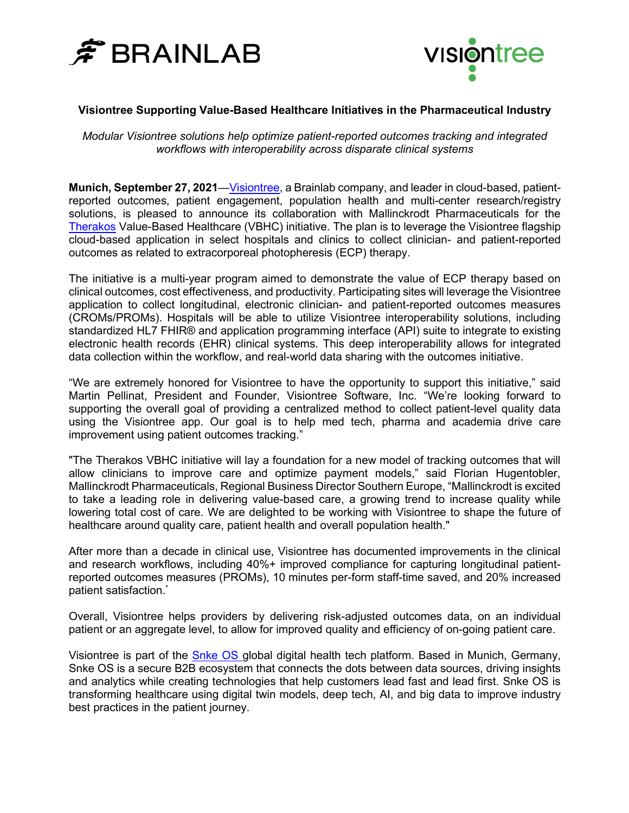



#### **Visiontree Supporting Value-Based Healthcare Initiatives in the Pharmaceutical Industry**

*Modular Visiontree solutions help optimize patient-reported outcomes tracking and integrated workflows with interoperability across disparate clinical systems*

**Munich, September 27, 2021**[—Visiontree,](https://www.visiontree.com/) a Brainlab company, and leader in cloud-based, patientreported outcomes, patient engagement, population health and multi-center research/registry solutions, is pleased to announce its collaboration with Mallinckrodt Pharmaceuticals for the [Therakos](https://www.therakos.com/) Value-Based Healthcare (VBHC) initiative. The plan is to leverage the Visiontree flagship cloud-based application in select hospitals and clinics to collect clinician- and patient-reported outcomes as related to extracorporeal photopheresis (ECP) therapy.

The initiative is a multi-year program aimed to demonstrate the value of ECP therapy based on clinical outcomes, cost effectiveness, and productivity. Participating sites will leverage the Visiontree application to collect longitudinal, electronic clinician- and patient-reported outcomes measures (CROMs/PROMs). Hospitals will be able to utilize Visiontree interoperability solutions, including standardized HL7 FHIR® and application programming interface (API) suite to integrate to existing electronic health records (EHR) clinical systems. This deep interoperability allows for integrated data collection within the workflow, and real-world data sharing with the outcomes initiative.

"We are extremely honored for Visiontree to have the opportunity to support this initiative," said Martin Pellinat, President and Founder, Visiontree Software, Inc. "We're looking forward to supporting the overall goal of providing a centralized method to collect patient-level quality data using the Visiontree app. Our goal is to help med tech, pharma and academia drive care improvement using patient outcomes tracking."

"The Therakos VBHC initiative will lay a foundation for a new model of tracking outcomes that will allow clinicians to improve care and optimize payment models," said Florian Hugentobler, Mallinckrodt Pharmaceuticals, Regional Business Director Southern Europe, "Mallinckrodt is excited to take a leading role in delivering value-based care, a growing trend to increase quality while lowering total cost of care. We are delighted to be working with Visiontree to shape the future of healthcare around quality care, patient health and overall population health."

After more than a decade in clinical use, Visiontree has documented improvements in the clinical and research workflows, including 40%+ improved compliance for capturing longitudinal patientreported outcomes measures (PROMs), 10 minutes per-form staff-time saved, and 20% increased patient satisfaction.<sup>\*</sup>

Overall, Visiontree helps providers by delivering risk-adjusted outcomes data, on an individual patient or an aggregate level, to allow for improved quality and efficiency of on-going patient care.

Visiontree is part of the [Snke OS g](http://snkeos.com/)lobal digital health tech platform. Based in Munich, Germany, Snke OS is a secure B2B ecosystem that connects the dots between data sources, driving insights and analytics while creating technologies that help customers lead fast and lead first. Snke OS is transforming healthcare using digital twin models, deep tech, AI, and big data to improve industry best practices in the patient journey.